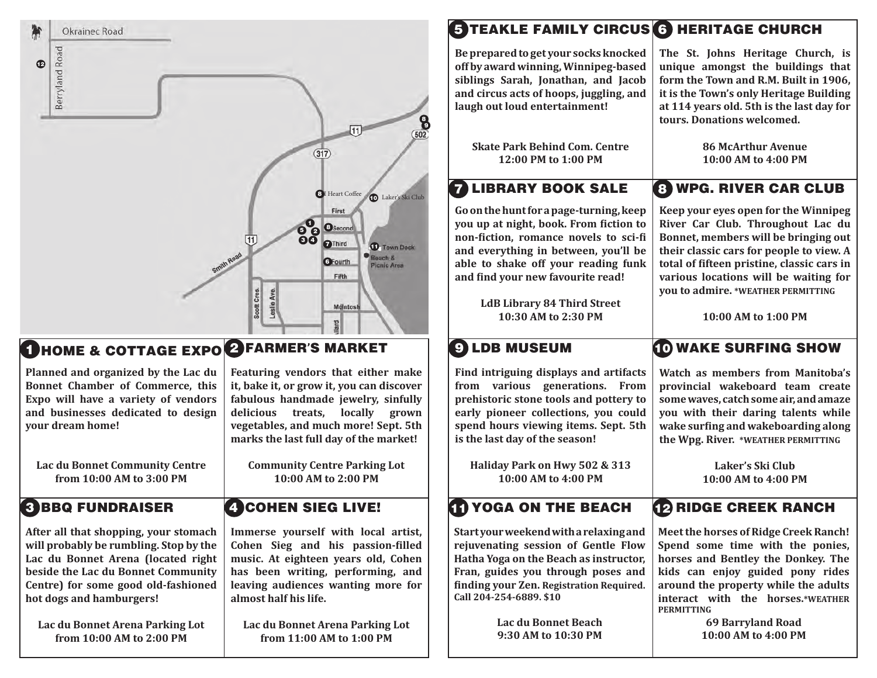| 衡<br>Okrainec Road                                                                                                                                                                                                                                                |                                                                                                                                                                                                                                                        | <b>STEAKLE FAMILY CIRCUS 6 HERITAGE CHURCH</b>                                                                                                                                                                                                             |                                                                                                                                                                                                                                                                                            |
|-------------------------------------------------------------------------------------------------------------------------------------------------------------------------------------------------------------------------------------------------------------------|--------------------------------------------------------------------------------------------------------------------------------------------------------------------------------------------------------------------------------------------------------|------------------------------------------------------------------------------------------------------------------------------------------------------------------------------------------------------------------------------------------------------------|--------------------------------------------------------------------------------------------------------------------------------------------------------------------------------------------------------------------------------------------------------------------------------------------|
| Berryland Road<br>$\bullet$                                                                                                                                                                                                                                       | 8                                                                                                                                                                                                                                                      | Be prepared to get your socks knocked<br>off by award winning, Winnipeg-based<br>siblings Sarah, Jonathan, and Jacob<br>and circus acts of hoops, juggling, and<br>laugh out loud entertainment!                                                           | The St. Johns Heritage Church, is<br>unique amongst the buildings that<br>form the Town and R.M. Built in 1906,<br>it is the Town's only Heritage Building<br>at 114 years old. 5th is the last day for<br>tours. Donations welcomed.                                                      |
|                                                                                                                                                                                                                                                                   | 502<br>$\overline{317}$                                                                                                                                                                                                                                | <b>Skate Park Behind Com. Centre</b><br>12:00 PM to 1:00 PM                                                                                                                                                                                                | <b>86 McArthur Avenue</b><br>10:00 AM to 4:00 PM                                                                                                                                                                                                                                           |
|                                                                                                                                                                                                                                                                   | <sup>1</sup> Heart Coffee<br><b>D</b> Laker's Ski Club                                                                                                                                                                                                 | <b>LIBRARY BOOK SALE</b><br>7                                                                                                                                                                                                                              | <b>8 WPG. RIVER CAR CLUB</b>                                                                                                                                                                                                                                                               |
|                                                                                                                                                                                                                                                                   | First<br><b>8</b> <sup><sup>0</sup> <sup>O</sup>Second 6<sup>0</sup></sup><br>(11)<br><b>OThird</b><br><b>1</b> Town Dock<br>$\bullet$ Beach &<br>GFourth<br>Picnic Area<br>Fifth                                                                      | Go on the hunt for a page-turning, keep<br>you up at night, book. From fiction to<br>non-fiction, romance novels to sci-fi<br>and everything in between, you'll be<br>able to shake off your reading funk<br>and find your new favourite read!             | Keep your eyes open for the Winnipeg<br>River Car Club. Throughout Lac du<br>Bonnet, members will be bringing out<br>their classic cars for people to view. A<br>total of fifteen pristine, classic cars in<br>various locations will be waiting for<br>you to admire. *WEATHER PERMITTING |
|                                                                                                                                                                                                                                                                   | Scott Cres<br>Leslie Av<br>MdIntosh                                                                                                                                                                                                                    | <b>LdB Library 84 Third Street</b><br>10:30 AM to 2:30 PM                                                                                                                                                                                                  | 10:00 AM to 1:00 PM                                                                                                                                                                                                                                                                        |
|                                                                                                                                                                                                                                                                   |                                                                                                                                                                                                                                                        |                                                                                                                                                                                                                                                            |                                                                                                                                                                                                                                                                                            |
| <b>THOME &amp; COTTAGE EXPO PFARMER'S MARKET</b>                                                                                                                                                                                                                  |                                                                                                                                                                                                                                                        | <b>9 LDB MUSEUM</b>                                                                                                                                                                                                                                        | <b>TO WAKE SURFING SHOW</b>                                                                                                                                                                                                                                                                |
| Planned and organized by the Lac du<br>Bonnet Chamber of Commerce, this<br>Expo will have a variety of vendors<br>and businesses dedicated to design<br>your dream home!                                                                                          | Featuring vendors that either make<br>it, bake it, or grow it, you can discover<br>fabulous handmade jewelry, sinfully<br>delicious treats, locally grown<br>vegetables, and much more! Sept. 5th<br>marks the last full day of the market!            | Find intriguing displays and artifacts<br>from various generations. From<br>prehistoric stone tools and pottery to<br>early pioneer collections, you could<br>spend hours viewing items. Sept. 5th<br>is the last day of the season!                       | Watch as members from Manitoba's<br>provincial wakeboard team create<br>some waves, catch some air, and amaze<br>you with their daring talents while<br>wake surfing and wakeboarding along<br>the Wpg. River. *WEATHER PERMITTING                                                         |
| <b>Lac du Bonnet Community Centre</b><br>from 10:00 AM to 3:00 PM                                                                                                                                                                                                 | <b>Community Centre Parking Lot</b><br>10:00 AM to 2:00 PM                                                                                                                                                                                             | Haliday Park on Hwy 502 & 313<br>10:00 AM to 4:00 PM                                                                                                                                                                                                       | Laker's Ski Club<br>10:00 AM to 4:00 PM                                                                                                                                                                                                                                                    |
| <b>BBQ FUNDRAISER</b>                                                                                                                                                                                                                                             | <b>ACOHEN SIEG LIVE!</b>                                                                                                                                                                                                                               | <b>THE YOGA ON THE BEACH</b>                                                                                                                                                                                                                               | <b>12 RIDGE CREEK RANCH</b>                                                                                                                                                                                                                                                                |
| After all that shopping, your stomach<br>will probably be rumbling. Stop by the<br>Lac du Bonnet Arena (located right<br>beside the Lac du Bonnet Community<br>Centre) for some good old-fashioned<br>hot dogs and hamburgers!<br>Lac du Bonnet Arena Parking Lot | Immerse yourself with local artist,<br>Cohen Sieg and his passion-filled<br>music. At eighteen years old, Cohen<br>has been writing, performing, and<br>leaving audiences wanting more for<br>almost half his life.<br>Lac du Bonnet Arena Parking Lot | Startyour weekend with a relaxing and<br>rejuvenating session of Gentle Flow<br>Hatha Yoga on the Beach as instructor,<br>Fran, guides you through poses and<br>finding your Zen. Registration Required.<br>Call 204-254-6889. \$10<br>Lac du Bonnet Beach | Meet the horses of Ridge Creek Ranch!<br>Spend some time with the ponies,<br>horses and Bentley the Donkey. The<br>kids can enjoy guided pony rides<br>around the property while the adults<br>interact with the horses.*WEATHER<br><b>PERMITTING</b><br><b>69 Barryland Road</b>          |